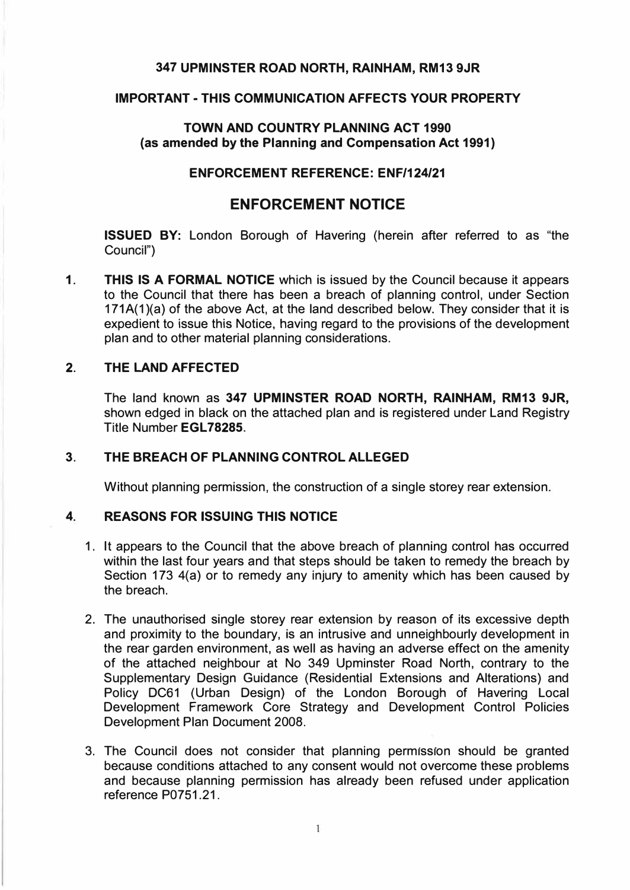# **347 UPMINSTER ROAD NORTH, RAINHAM, RM13 9JR**

#### **IMPORTANT - THIS COMMUNICATION AFFECTS YOUR PROPERTY**

## **TOWN AND COUNTRY PLANNING ACT 1990 (as amended by the Planning and Compensation Act 1991)**

## **ENFORCEMENT REFERENCE: ENF/124/21**

# **ENFORCEMENT NOTICE**

**ISSUED BY:** London Borough of Havering (herein after referred to as "the Council")

**1. THIS IS A FORMAL NOTICE** which is issued by the Council because it appears to the Council that there has been a breach of planning control, under Section 171A(1)(a) of the above Act, at the land described below. They consider that it is expedient to issue this Notice, having regard to the provisions of the development plan and to other material planning considerations.

#### **2. THE LAND AFFECTED**

The land known as **347 UPMINSTER ROAD NORTH, RAINHAM, RM13 9JR,** shown edged in black on the attached plan and is registered under Land Registry Title Number **EGL78285.**

# **3. THE BREACH OF PLANNING CONTROL ALLEGED**

Without planning permission, the construction of a single storey rear extension.

#### **4. REASONS FOR ISSUING THIS NOTICE**

- 1. It appears to the Council that the above breach of planning control has occurred within the last four years and that steps should be taken to remedy the breach by Section 173 4(a) or to remedy any injury to amenity which has been caused by the breach.
- 2. The unauthorised single storey rear extension by reason of its excessive depth and proximity to the boundary, is an intrusive and unneighbourly development in the rear garden environment, as well as having an adverse effect on the amenity of the attached neighbour at No 349 Upminster Road North, contrary to the Supplementary Design Guidance (Residential Extensions and Alterations) and Policy DC61 (Urban Design) of the London Borough of Havering Local Development Framework Core Strategy and Development Control Policies Development Plan Document 2008.
- 3. The Council does not consider that planning permission should be granted because conditions attached to any consent would not overcome these problems and because planning permission has already been refused under application reference P0751.21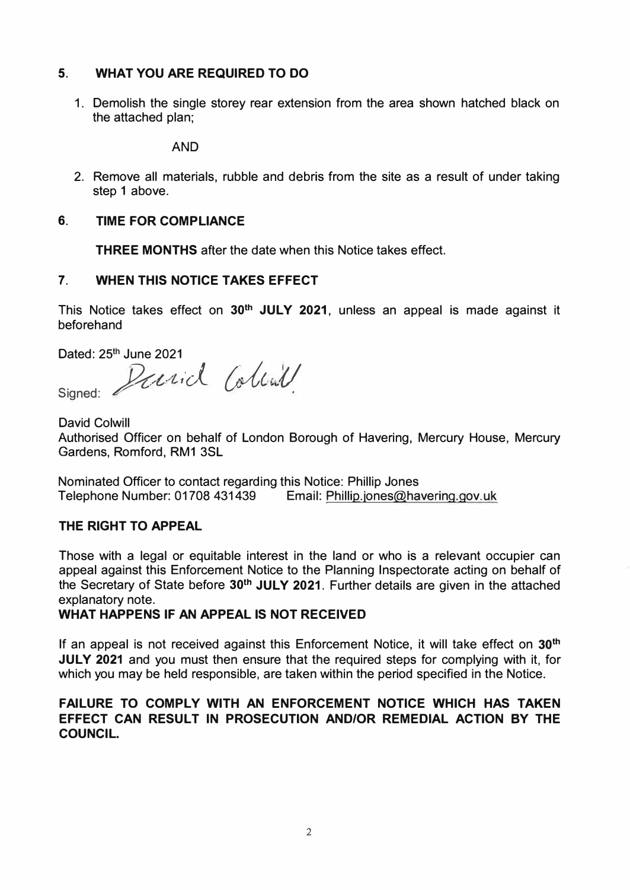# **5. WHAT YOU ARE REQUIRED TO DO**

1. Demolish the single storey rear extension from the area shown hatched black on the attached plan;

**AND** 

2. Remove all materials, rubble and debris from the site as a result of under taking step 1 above.

# **6. TIME FOR COMPLIANCE**

**THREE MONTHS** after the date when this Notice takes effect.

# **7. WHEN THIS NOTICE TAKES EFFECT**

This Notice takes effect on **30th JULY 2021,** unless an appeal is made against it beforehand

Dated: 25**th** June 2021

Signed: Parid Collail

David Colwill Authorised Officer on behalf of London Borough of Havering, Mercury House, Mercury Gardens, Romford, RM1 3SL

Nominated Officer to contact regarding this Notice: Phillip Jones Telephone Number: 01708 431439 Email: Phillip.jones@havering.gov.uk

# **THE RIGHT TO APPEAL**

Those with a legal or equitable interest in the land or who is a relevant occupier can appeal against this Enforcement Notice to the Planning Inspectorate acting on behalf of the Secretary of State before **30th JULY 2021.** Further details are given in the attached explanatory note.

**WHAT HAPPENS IF AN APPEAL IS NOT RECEIVED** 

If an appeal is not received against this Enforcement Notice, it will take effect on **30th JULY 2021** and you must then ensure that the required steps for complying with it, for which you may be held responsible, are taken within the period specified in the Notice.

# **FAILURE TO COMPLY WITH AN ENFORCEMENT NOTICE WHICH HAS TAKEN EFFECT CAN RESULT IN PROSECUTION AND/OR REMEDIAL ACTION BY THE COUNCIL.**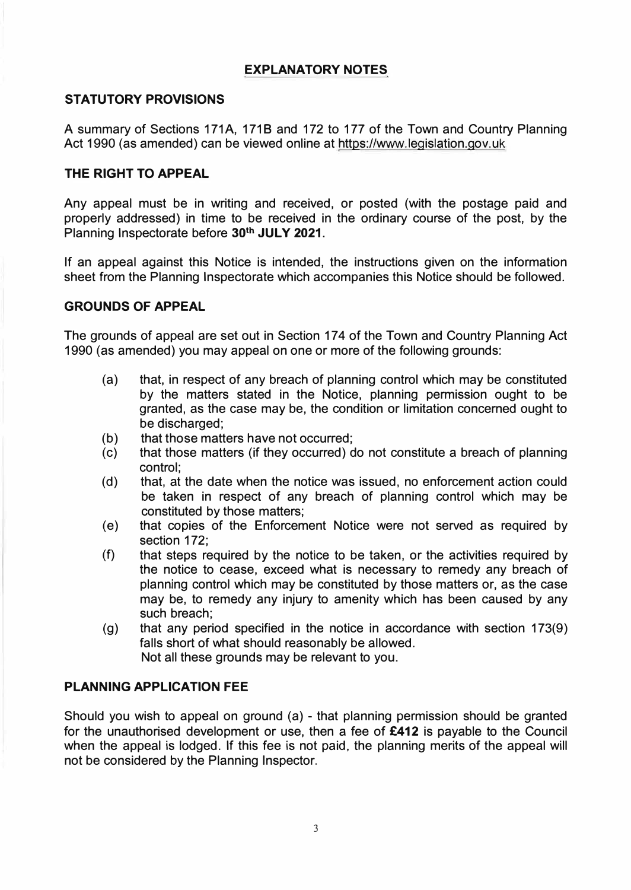# **EXPLANATORY NOTES**

# **STATUTORY PROVISIONS**

A summary of Sections 171A, 1718 and 172 to 177 of the Town and Country Planning Act 1990 (as amended) can be viewed online at<https://www.legislation.gov.uk>

## **THE RIGHT TO APPEAL**

Any appeal must be in writing and received, or posted (with the postage paid and properly addressed) in time to be received in the ordinary course of the post, by the Planning Inspectorate before **30th JULY 2021.**

If an appeal against this Notice is intended, the instructions given on the information sheet from the Planning Inspectorate which accompanies this Notice should be followed.

#### **GROUNDS OF APPEAL**

The grounds of appeal are set out in Section 174 of the Town and Country Planning Act 1990 (as amended) you may appeal on one or more of the following grounds:

- (a) that, in respect of any breach of planning control which may be constituted by the matters stated in the Notice, planning permission ought to be granted, as the case may be, the condition or limitation concerned ought to be discharged;
- (b) that those matters have not occurred;
- (c) that those matters (if they occurred) do not constitute a breach of planning control;
- (d) that, at the date when the notice was issued, no enforcement action could be taken in respect of any breach of planning control which may be constituted by those matters;
- (e) that copies of the Enforcement Notice were not served as required by section 172;
- (f) that steps required by the notice to be taken, or the activities required by the notice to cease, exceed what is necessary to remedy any breach of planning control which may be constituted by those matters or, as the case may be, to remedy any injury to amenity which has been caused by any such breach;
- (g) that any period specified in the notice in accordance with section 173(9) falls short of what should reasonably be allowed. Not all these grounds may be relevant to you.

# **PLANNING APPLICATION FEE**

Should you wish to appeal on ground (a) - that planning permission should be granted for the unauthorised development or use, then a fee of **£412** is payable to the Council when the appeal is lodged. If this fee is not paid, the planning merits of the appeal will not be considered by the Planning Inspector.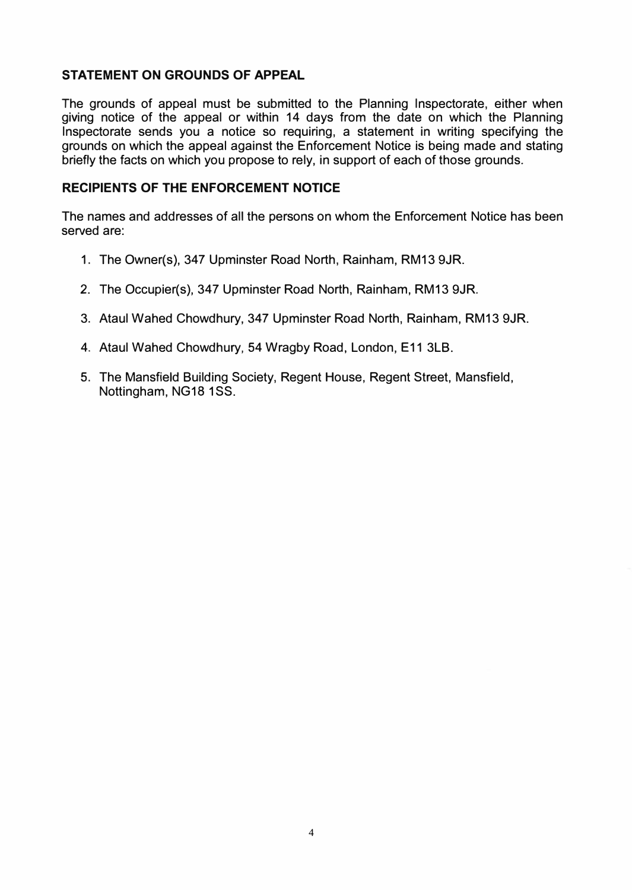# **STATEMENT ON GROUNDS OF APPEAL**

The grounds of appeal must be submitted to the Planning Inspectorate, either when giving notice of the appeal or within 14 days from the date on which the Planning Inspectorate sends you a notice so requiring, a statement in writing specifying the grounds on which the appeal against the Enforcement Notice is being made and stating briefly the facts on which you propose to rely, in support of each of those grounds.

## **RECIPIENTS OF THE ENFORCEMENT NOTICE**

The names and addresses of all the persons on whom the Enforcement Notice has been served are:

- 1. The Owner(s), 347 Upminster Road North, Rainham, RM13 9JR.
- 2. The Occupier(s), 347 Upminster Road North, Rainham, RM13 9JR.
- 3. Ataul Wahed Chowdhury, 347 Upminster Road North, Rainham, RM13 9JR.
- 4. Ataul Wahed Chowdhury, 54 Wragby Road, London, E11 3LB.
- 5. The Mansfield Building Society, Regent House, Regent Street, Mansfield, Nottingham, NG18 1SS.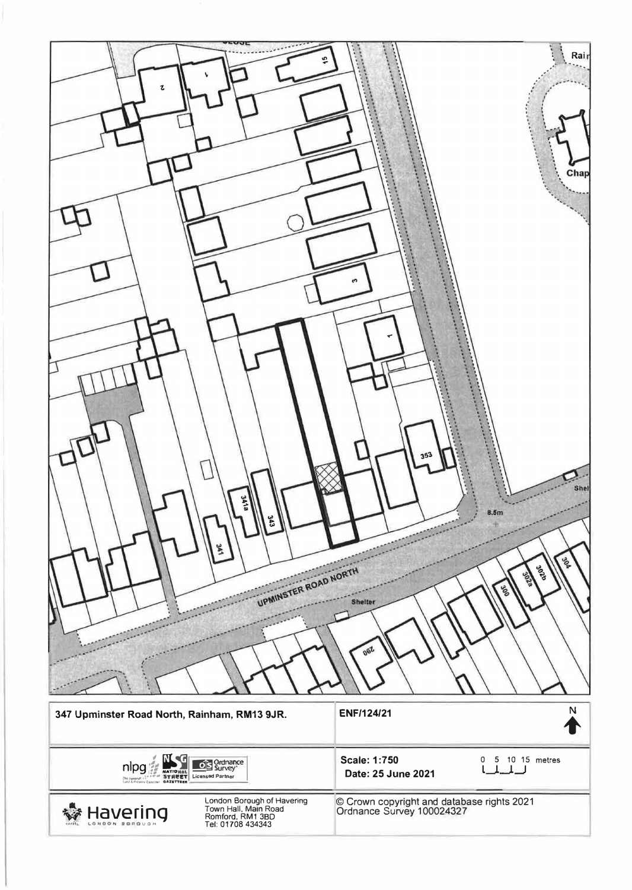| Rair<br>ഹ<br>ι<br>Chap<br>5<br>353<br>Shel<br><b>3418</b><br>8.5m<br>343<br>506<br>azoc<br>UPMINSTER ROAD NORTH<br>2029<br>ಜ್ಞ<br><b>Shelter</b><br>062 |                                                                         |
|---------------------------------------------------------------------------------------------------------------------------------------------------------|-------------------------------------------------------------------------|
| 347 Upminster Road North, Rainham, RM13 9JR.                                                                                                            | Ņ<br><b>ENF/124/21</b>                                                  |
| Ordnance<br>Survey<br>nlpg<br>оь<br><b>THE SE NATIONAL SEE SUITES</b><br><b>STREET</b> Licensed Partner<br>Link Researc Galacter <b>GAZETTEER</b>       | <b>Scale: 1:750</b><br>5 10 15 metres<br>0<br>Date: 25 June 2021        |
| London Borough of Havering<br>Town Hall, Main Road<br>Romford, RM1 3BD<br>Tel: 01708 434343<br>avering<br>NOON BORQUO                                   | © Crown copyright and database rights 2021<br>Ordnance Survey 100024327 |